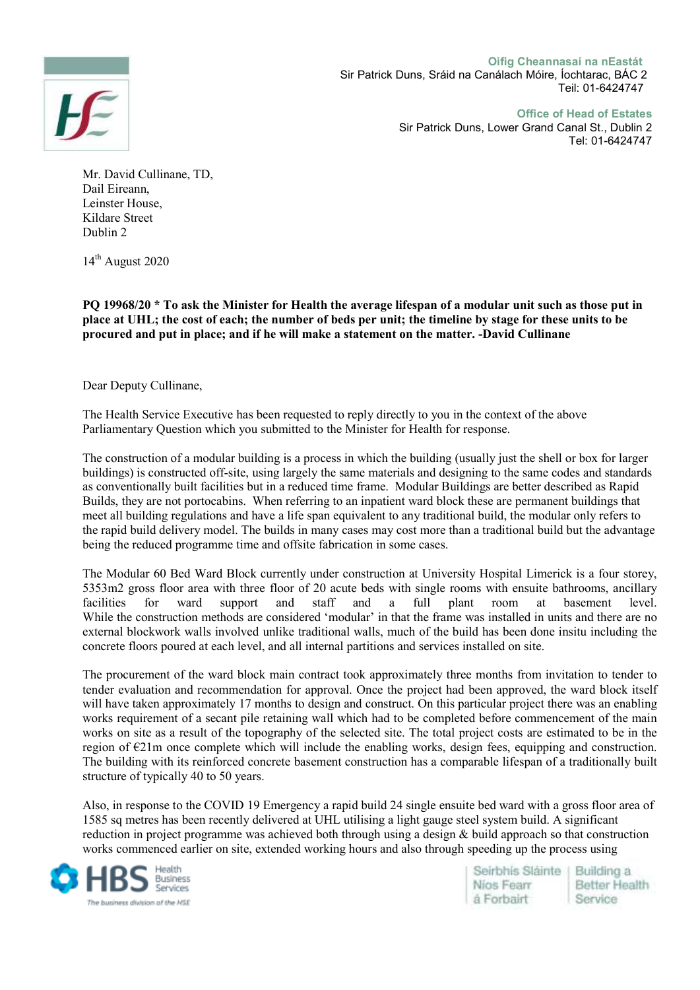**Oifig Cheannasaí na nEastát**



Sir Patrick Duns, Sráid na Canálach Móire, Íochtarac, BÁC 2 Teil: 01-6424747

> **Office of Head of Estates**  Sir Patrick Duns, Lower Grand Canal St., Dublin 2 Tel: 01-6424747

Mr. David Cullinane, TD, Dail Eireann, Leinster House, Kildare Street Dublin 2

 $14<sup>th</sup>$  August 2020

**PQ 19968/20 \* To ask the Minister for Health the average lifespan of a modular unit such as those put in place at UHL; the cost of each; the number of beds per unit; the timeline by stage for these units to be procured and put in place; and if he will make a statement on the matter. -David Cullinane** 

Dear Deputy Cullinane,

The Health Service Executive has been requested to reply directly to you in the context of the above Parliamentary Question which you submitted to the Minister for Health for response.

The construction of a modular building is a process in which the building (usually just the shell or box for larger buildings) is constructed off-site, using largely the same materials and designing to the same codes and standards as conventionally built facilities but in a reduced time frame. Modular Buildings are better described as Rapid Builds, they are not portocabins. When referring to an inpatient ward block these are permanent buildings that meet all building regulations and have a life span equivalent to any traditional build, the modular only refers to the rapid build delivery model. The builds in many cases may cost more than a traditional build but the advantage being the reduced programme time and offsite fabrication in some cases.

The Modular 60 Bed Ward Block currently under construction at University Hospital Limerick is a four storey, 5353m2 gross floor area with three floor of 20 acute beds with single rooms with ensuite bathrooms, ancillary facilities for ward support and staff and a full plant room at basement level. facilities for ward support and staff and a full plant room at basement level. While the construction methods are considered 'modular' in that the frame was installed in units and there are no external blockwork walls involved unlike traditional walls, much of the build has been done insitu including the concrete floors poured at each level, and all internal partitions and services installed on site.

The procurement of the ward block main contract took approximately three months from invitation to tender to tender evaluation and recommendation for approval. Once the project had been approved, the ward block itself will have taken approximately 17 months to design and construct. On this particular project there was an enabling works requirement of a secant pile retaining wall which had to be completed before commencement of the main works on site as a result of the topography of the selected site. The total project costs are estimated to be in the region of €21m once complete which will include the enabling works, design fees, equipping and construction. The building with its reinforced concrete basement construction has a comparable lifespan of a traditionally built structure of typically 40 to 50 years.

Also, in response to the COVID 19 Emergency a rapid build 24 single ensuite bed ward with a gross floor area of 1585 sq metres has been recently delivered at UHL utilising a light gauge steel system build. A significant reduction in project programme was achieved both through using a design & build approach so that construction works commenced earlier on site, extended working hours and also through speeding up the process using



Seirbhis Sláinte Building a Nios Fearr Better Health á Forbairt Service